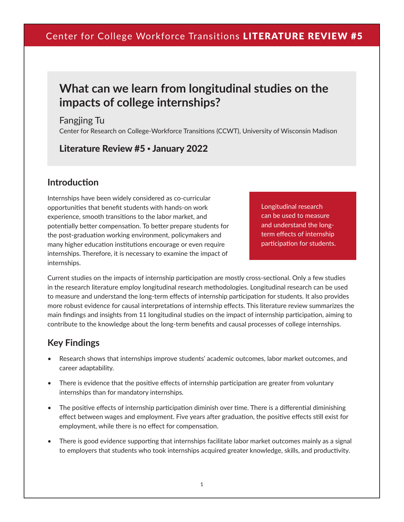# **What can we learn from longitudinal studies on the impacts of college internships?**

Fangjing Tu Center for Research on College-Workforce Transitions (CCWT), University of Wisconsin Madison

Literature Review #5 • January 2022

### **Introduction**

Internships have been widely considered as co-curricular opportunities that benefit students with hands-on work experience, smooth transitions to the labor market, and potentially better compensation. To better prepare students for the post-graduation working environment, policymakers and many higher education institutions encourage or even require internships. Therefore, it is necessary to examine the impact of internships.

Longitudinal research can be used to measure and understand the longterm effects of internship participation for students.

Current studies on the impacts of internship participation are mostly cross-sectional. Only a few studies in the research literature employ longitudinal research methodologies. Longitudinal research can be used to measure and understand the long-term effects of internship participation for students. It also provides more robust evidence for causal interpretations of internship effects. This literature review summarizes the main findings and insights from 11 longitudinal studies on the impact of internship participation, aiming to contribute to the knowledge about the long-term benefits and causal processes of college internships.

### **Key Findings**

- Research shows that internships improve students' academic outcomes, labor market outcomes, and career adaptability.
- There is evidence that the positive effects of internship participation are greater from voluntary internships than for mandatory internships.
- The positive effects of internship participation diminish over time. There is a differential diminishing effect between wages and employment. Five years after graduation, the positive effects still exist for employment, while there is no effect for compensation.
- There is good evidence supporting that internships facilitate labor market outcomes mainly as a signal to employers that students who took internships acquired greater knowledge, skills, and productivity.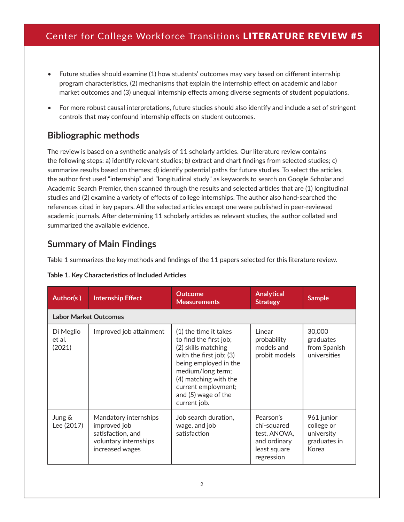- Future studies should examine (1) how students' outcomes may vary based on different internship program characteristics, (2) mechanisms that explain the internship effect on academic and labor market outcomes and (3) unequal internship effects among diverse segments of student populations.
- For more robust causal interpretations, future studies should also identify and include a set of stringent controls that may confound internship effects on student outcomes.

### **Bibliographic methods**

The review is based on a synthetic analysis of 11 scholarly articles. Our literature review contains the following steps: a) identify relevant studies; b) extract and chart findings from selected studies; c) summarize results based on themes; d) identify potential paths for future studies. To select the articles, the author first used "internship" and "longitudinal study" as keywords to search on Google Scholar and Academic Search Premier, then scanned through the results and selected articles that are (1) longitudinal studies and (2) examine a variety of effects of college internships. The author also hand-searched the references cited in key papers. All the selected articles except one were published in peer-reviewed academic journals. After determining 11 scholarly articles as relevant studies, the author collated and summarized the available evidence.

### **Summary of Main Findings**

Table 1 summarizes the key methods and findings of the 11 papers selected for this literature review.

|  |  | Table 1. Key Characteristics of Included Articles |  |  |
|--|--|---------------------------------------------------|--|--|
|--|--|---------------------------------------------------|--|--|

| Author(s)                     | <b>Internship Effect</b>                                                                               | <b>Outcome</b><br><b>Measurements</b>                                                                                                                                                                                                  | <b>Analytical</b><br><b>Strategy</b>                                                   | <b>Sample</b>                                                   |  |  |  |
|-------------------------------|--------------------------------------------------------------------------------------------------------|----------------------------------------------------------------------------------------------------------------------------------------------------------------------------------------------------------------------------------------|----------------------------------------------------------------------------------------|-----------------------------------------------------------------|--|--|--|
|                               | <b>Labor Market Outcomes</b>                                                                           |                                                                                                                                                                                                                                        |                                                                                        |                                                                 |  |  |  |
| Di Meglio<br>et al.<br>(2021) | Improved job attainment                                                                                | (1) the time it takes<br>to find the first job;<br>(2) skills matching<br>with the first job; (3)<br>being employed in the<br>medium/long term;<br>(4) matching with the<br>current employment;<br>and (5) wage of the<br>current job. | Linear<br>probability<br>models and<br>probit models                                   | 30,000<br>graduates<br>from Spanish<br>universities             |  |  |  |
| Jung &<br>Lee (2017)          | Mandatory internships<br>improved job<br>satisfaction, and<br>voluntary internships<br>increased wages | Job search duration,<br>wage, and job<br>satisfaction                                                                                                                                                                                  | Pearson's<br>chi-squared<br>test, ANOVA,<br>and ordinary<br>least square<br>regression | 961 junior<br>college or<br>university<br>graduates in<br>Korea |  |  |  |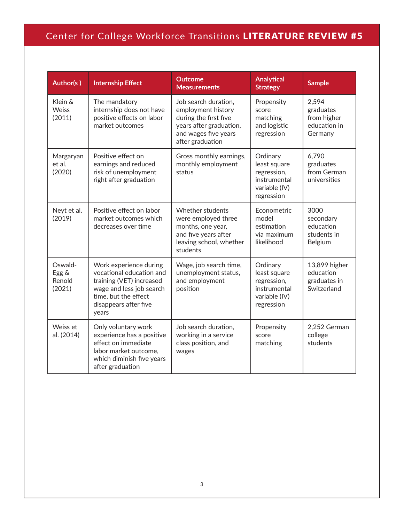| Author(s)                            | <b>Internship Effect</b>                                                                                                                                             | <b>Outcome</b><br><b>Measurements</b>                                                                                                      | <b>Analytical</b><br><b>Strategy</b>                                                   | <b>Sample</b>                                                |
|--------------------------------------|----------------------------------------------------------------------------------------------------------------------------------------------------------------------|--------------------------------------------------------------------------------------------------------------------------------------------|----------------------------------------------------------------------------------------|--------------------------------------------------------------|
| Klein &<br><b>Weiss</b><br>(2011)    | The mandatory<br>internship does not have<br>positive effects on labor<br>market outcomes                                                                            | Job search duration,<br>employment history<br>during the first five<br>years after graduation,<br>and wages five years<br>after graduation | Propensity<br>score<br>matching<br>and logistic<br>regression                          | 2,594<br>graduates<br>from higher<br>education in<br>Germany |
| Margaryan<br>et al.<br>(2020)        | Positive effect on<br>earnings and reduced<br>risk of unemployment<br>right after graduation                                                                         | Gross monthly earnings,<br>monthly employment<br>status                                                                                    | Ordinary<br>least square<br>regression,<br>instrumental<br>variable (IV)<br>regression | 6,790<br>graduates<br>from German<br>universities            |
| Neyt et al.<br>(2019)                | Positive effect on labor<br>market outcomes which<br>decreases over time                                                                                             | <b>Whether students</b><br>were employed three<br>months, one year,<br>and five years after<br>leaving school, whether<br>students         | Econometric<br>model<br>estimation<br>via maximum<br>likelihood                        | 3000<br>secondary<br>education<br>students in<br>Belgium     |
| Oswald-<br>Egg &<br>Renold<br>(2021) | Work experience during<br>vocational education and<br>training (VET) increased<br>wage and less job search<br>time, but the effect<br>disappears after five<br>years | Wage, job search time,<br>unemployment status,<br>and employment<br>position                                                               | Ordinary<br>least square<br>regression,<br>instrumental<br>variable (IV)<br>regression | 13,899 higher<br>education<br>graduates in<br>Switzerland    |
| Weiss et<br>al. (2014)               | Only voluntary work<br>experience has a positive<br>effect on immediate<br>labor market outcome,<br>which diminish five years<br>after graduation                    | Job search duration,<br>working in a service<br>class position, and<br>wages                                                               | Propensity<br>score<br>matching                                                        | 2,252 German<br>college<br>students                          |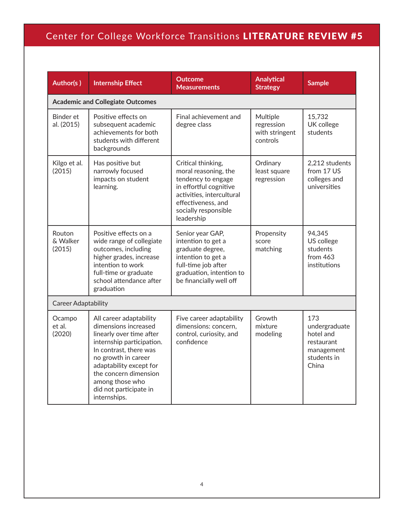| Author(s)                    | <b>Internship Effect</b>                                                                                                                                                                                                                                                   | <b>Outcome</b><br><b>Measurements</b>                                                                                                                                               | <b>Analytical</b><br><b>Strategy</b>                 | <b>Sample</b>                                                                         |  |
|------------------------------|----------------------------------------------------------------------------------------------------------------------------------------------------------------------------------------------------------------------------------------------------------------------------|-------------------------------------------------------------------------------------------------------------------------------------------------------------------------------------|------------------------------------------------------|---------------------------------------------------------------------------------------|--|
|                              | <b>Academic and Collegiate Outcomes</b>                                                                                                                                                                                                                                    |                                                                                                                                                                                     |                                                      |                                                                                       |  |
| Binder et<br>al. (2015)      | Positive effects on<br>subsequent academic<br>achievements for both<br>students with different<br>backgrounds                                                                                                                                                              | Final achievement and<br>degree class                                                                                                                                               | Multiple<br>regression<br>with stringent<br>controls | 15,732<br>UK college<br>students                                                      |  |
| Kilgo et al.<br>(2015)       | Has positive but<br>narrowly focused<br>impacts on student<br>learning.                                                                                                                                                                                                    | Critical thinking,<br>moral reasoning, the<br>tendency to engage<br>in effortful cognitive<br>activities, intercultural<br>effectiveness, and<br>socially responsible<br>leadership | Ordinary<br>least square<br>regression               | 2,212 students<br>from 17 US<br>colleges and<br>universities                          |  |
| Routon<br>& Walker<br>(2015) | Positive effects on a<br>wide range of collegiate<br>outcomes, including<br>higher grades, increase<br>intention to work<br>full-time or graduate<br>school attendance after<br>graduation                                                                                 | Senior year GAP,<br>intention to get a<br>graduate degree,<br>intention to get a<br>full-time job after<br>graduation, intention to<br>be financially well off                      | Propensity<br>score<br>matching                      | 94,345<br>US college<br>students<br>from 463<br>institutions                          |  |
| <b>Career Adaptability</b>   |                                                                                                                                                                                                                                                                            |                                                                                                                                                                                     |                                                      |                                                                                       |  |
| Ocampo<br>et al.<br>(2020)   | All career adaptability<br>dimensions increased<br>linearly over time after<br>internship participation.<br>In contrast, there was<br>no growth in career<br>adaptability except for<br>the concern dimension<br>among those who<br>did not participate in<br>internships. | Five career adaptability<br>dimensions: concern,<br>control, curiosity, and<br>confidence                                                                                           | Growth<br>mixture<br>modeling                        | 173<br>undergraduate<br>hotel and<br>restaurant<br>management<br>students in<br>China |  |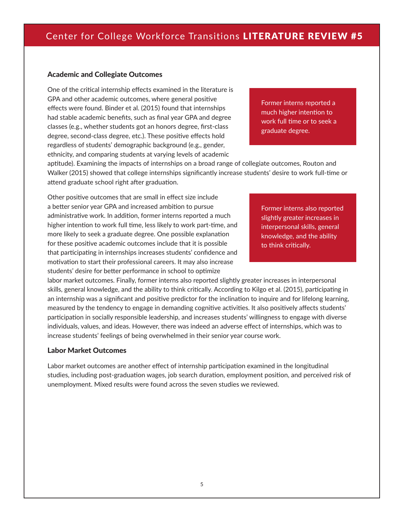#### Academic and Collegiate Outcomes

One of the critical internship effects examined in the literature is GPA and other academic outcomes, where general positive effects were found. Binder et al. (2015) found that internships had stable academic benefits, such as final year GPA and degree classes (e.g., whether students got an honors degree, first-class degree, second-class degree, etc.). These positive effects hold regardless of students' demographic background (e.g., gender, ethnicity, and comparing students at varying levels of academic

Former interns reported a much higher intention to work full time or to seek a graduate degree.

aptitude). Examining the impacts of internships on a broad range of collegiate outcomes, Routon and Walker (2015) showed that college internships significantly increase students' desire to work full-time or attend graduate school right after graduation.

Other positive outcomes that are small in effect size include a better senior year GPA and increased ambition to pursue administrative work. In addition, former interns reported a much higher intention to work full time, less likely to work part-time, and more likely to seek a graduate degree. One possible explanation for these positive academic outcomes include that it is possible that participating in internships increases students' confidence and motivation to start their professional careers. It may also increase students' desire for better performance in school to optimize

Former interns also reported slightly greater increases in interpersonal skills, general knowledge, and the ability to think critically.

labor market outcomes. Finally, former interns also reported slightly greater increases in interpersonal skills, general knowledge, and the ability to think critically. According to Kilgo et al. (2015), participating in an internship was a significant and positive predictor for the inclination to inquire and for lifelong learning, measured by the tendency to engage in demanding cognitive activities. It also positively affects students' participation in socially responsible leadership, and increases students' willingness to engage with diverse individuals, values, and ideas. However, there was indeed an adverse effect of internships, which was to increase students' feelings of being overwhelmed in their senior year course work.

#### Labor Market Outcomes

Labor market outcomes are another effect of internship participation examined in the longitudinal studies, including post-graduation wages, job search duration, employment position, and perceived risk of unemployment. Mixed results were found across the seven studies we reviewed.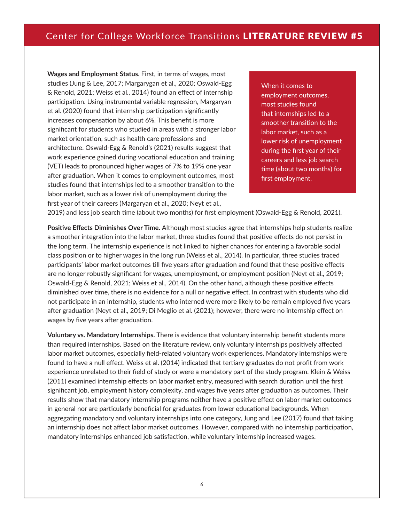**Wages and Employment Status.** First, in terms of wages, most studies (Jung & Lee, 2017; Margarygan et al., 2020; Oswald-Egg & Renold, 2021; Weiss et al., 2014) found an effect of internship participation. Using instrumental variable regression, Margaryan et al. (2020) found that internship participation significantly increases compensation by about 6%. This benefit is more significant for students who studied in areas with a stronger labor market orientation, such as health care professions and architecture. Oswald-Egg & Renold's (2021) results suggest that work experience gained during vocational education and training (VET) leads to pronounced higher wages of 7% to 19% one year after graduation. When it comes to employment outcomes, most studies found that internships led to a smoother transition to the labor market, such as a lower risk of unemployment during the first year of their careers (Margaryan et al., 2020; Neyt et al.,

When it comes to employment outcomes, most studies found that internships led to a smoother transition to the labor market, such as a lower risk of unemployment during the first year of their careers and less job search time (about two months) for first employment.

2019) and less job search time (about two months) for first employment (Oswald-Egg & Renold, 2021).

**Positive Effects Diminishes Over Time.** Although most studies agree that internships help students realize a smoother integration into the labor market, three studies found that positive effects do not persist in the long term. The internship experience is not linked to higher chances for entering a favorable social class position or to higher wages in the long run (Weiss et al., 2014). In particular, three studies traced participants' labor market outcomes till five years after graduation and found that these positive effects are no longer robustly significant for wages, unemployment, or employment position (Neyt et al., 2019; Oswald-Egg & Renold, 2021; Weiss et al., 2014). On the other hand, although these positive effects diminished over time, there is no evidence for a null or negative effect. In contrast with students who did not participate in an internship, students who interned were more likely to be remain employed five years after graduation (Neyt et al., 2019; Di Meglio et al. (2021); however, there were no internship effect on wages by five years after graduation.

**Voluntary vs. Mandatory Internships.** There is evidence that voluntary internship benefit students more than required internships. Based on the literature review, only voluntary internships positively affected labor market outcomes, especially field-related voluntary work experiences. Mandatory internships were found to have a null effect. Weiss et al. (2014) indicated that tertiary graduates do not profit from work experience unrelated to their field of study or were a mandatory part of the study program. Klein & Weiss (2011) examined internship effects on labor market entry, measured with search duration until the first significant job, employment history complexity, and wages five years after graduation as outcomes. Their results show that mandatory internship programs neither have a positive effect on labor market outcomes in general nor are particularly beneficial for graduates from lower educational backgrounds. When aggregating mandatory and voluntary internships into one category, Jung and Lee (2017) found that taking an internship does not affect labor market outcomes. However, compared with no internship participation, mandatory internships enhanced job satisfaction, while voluntary internship increased wages.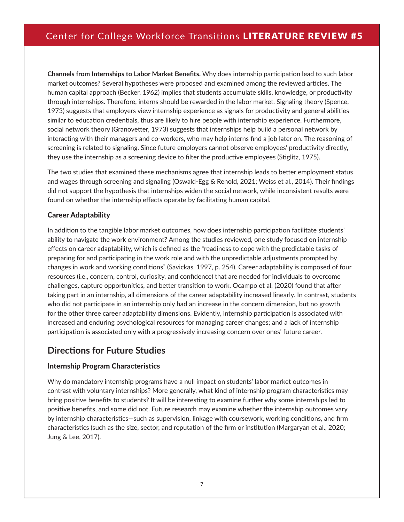**Channels from Internships to Labor Market Benefits.** Why does internship participation lead to such labor market outcomes? Several hypotheses were proposed and examined among the reviewed articles. The human capital approach (Becker, 1962) implies that students accumulate skills, knowledge, or productivity through internships. Therefore, interns should be rewarded in the labor market. Signaling theory (Spence, 1973) suggests that employers view internship experience as signals for productivity and general abilities similar to education credentials, thus are likely to hire people with internship experience. Furthermore, social network theory (Granovetter, 1973) suggests that internships help build a personal network by interacting with their managers and co-workers, who may help interns find a job later on. The reasoning of screening is related to signaling. Since future employers cannot observe employees' productivity directly, they use the internship as a screening device to filter the productive employees (Stiglitz, 1975).

The two studies that examined these mechanisms agree that internship leads to better employment status and wages through screening and signaling (Oswald-Egg & Renold, 2021; Weiss et al., 2014). Their findings did not support the hypothesis that internships widen the social network, while inconsistent results were found on whether the internship effects operate by facilitating human capital.

#### Career Adaptability

In addition to the tangible labor market outcomes, how does internship participation facilitate students' ability to navigate the work environment? Among the studies reviewed, one study focused on internship effects on career adaptability, which is defined as the "readiness to cope with the predictable tasks of preparing for and participating in the work role and with the unpredictable adjustments prompted by changes in work and working conditions" (Savickas, 1997, p. 254). Career adaptability is composed of four resources (i.e., concern, control, curiosity, and confidence) that are needed for individuals to overcome challenges, capture opportunities, and better transition to work. Ocampo et al. (2020) found that after taking part in an internship, all dimensions of the career adaptability increased linearly. In contrast, students who did not participate in an internship only had an increase in the concern dimension, but no growth for the other three career adaptability dimensions. Evidently, internship participation is associated with increased and enduring psychological resources for managing career changes; and a lack of internship participation is associated only with a progressively increasing concern over ones' future career.

### **Directions for Future Studies**

#### Internship Program Characteristics

Why do mandatory internship programs have a null impact on students' labor market outcomes in contrast with voluntary internships? More generally, what kind of internship program characteristics may bring positive benefits to students? It will be interesting to examine further why some internships led to positive benefits, and some did not. Future research may examine whether the internship outcomes vary by internship characteristics—such as supervision, linkage with coursework, working conditions, and firm characteristics (such as the size, sector, and reputation of the firm or institution (Margaryan et al., 2020; Jung & Lee, 2017).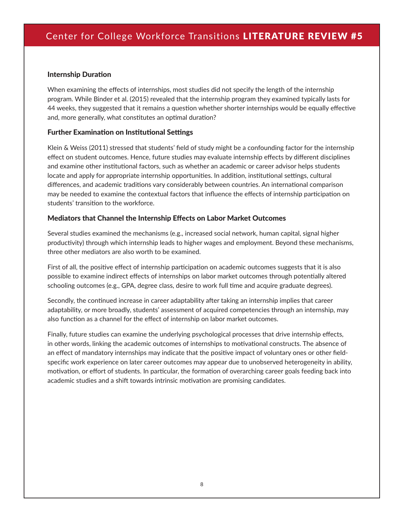#### Internship Duration

When examining the effects of internships, most studies did not specify the length of the internship program. While Binder et al. (2015) revealed that the internship program they examined typically lasts for 44 weeks, they suggested that it remains a question whether shorter internships would be equally effective and, more generally, what constitutes an optimal duration?

#### Further Examination on Institutional Settings

Klein & Weiss (2011) stressed that students' field of study might be a confounding factor for the internship effect on student outcomes. Hence, future studies may evaluate internship effects by different disciplines and examine other institutional factors, such as whether an academic or career advisor helps students locate and apply for appropriate internship opportunities. In addition, institutional settings, cultural differences, and academic traditions vary considerably between countries. An international comparison may be needed to examine the contextual factors that influence the effects of internship participation on students' transition to the workforce.

#### Mediators that Channel the Internship Effects on Labor Market Outcomes

Several studies examined the mechanisms (e.g., increased social network, human capital, signal higher productivity) through which internship leads to higher wages and employment. Beyond these mechanisms, three other mediators are also worth to be examined.

First of all, the positive effect of internship participation on academic outcomes suggests that it is also possible to examine indirect effects of internships on labor market outcomes through potentially altered schooling outcomes (e.g., GPA, degree class, desire to work full time and acquire graduate degrees).

Secondly, the continued increase in career adaptability after taking an internship implies that career adaptability, or more broadly, students' assessment of acquired competencies through an internship, may also function as a channel for the effect of internship on labor market outcomes.

Finally, future studies can examine the underlying psychological processes that drive internship effects, in other words, linking the academic outcomes of internships to motivational constructs. The absence of an effect of mandatory internships may indicate that the positive impact of voluntary ones or other fieldspecific work experience on later career outcomes may appear due to unobserved heterogeneity in ability, motivation, or effort of students. In particular, the formation of overarching career goals feeding back into academic studies and a shift towards intrinsic motivation are promising candidates.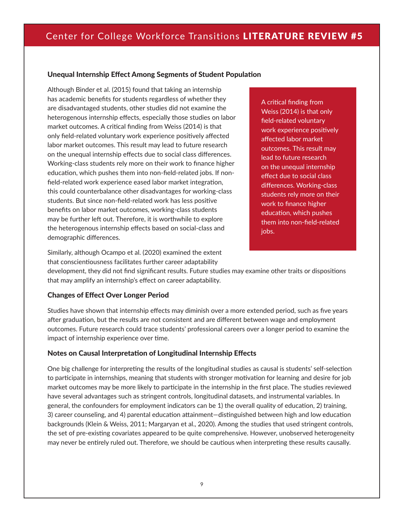#### Unequal Internship Effect Among Segments of Student Population

Although Binder et al. (2015) found that taking an internship has academic benefits for students regardless of whether they are disadvantaged students, other studies did not examine the heterogenous internship effects, especially those studies on labor market outcomes. A critical finding from Weiss (2014) is that only field-related voluntary work experience positively affected labor market outcomes. This result may lead to future research on the unequal internship effects due to social class differences. Working-class students rely more on their work to finance higher education, which pushes them into non-field-related jobs. If nonfield-related work experience eased labor market integration, this could counterbalance other disadvantages for working-class students. But since non-field-related work has less positive benefits on labor market outcomes, working-class students may be further left out. Therefore, it is worthwhile to explore the heterogenous internship effects based on social-class and demographic differences.

A critical finding from Weiss (2014) is that only field-related voluntary work experience positively affected labor market outcomes. This result may lead to future research on the unequal internship effect due to social class differences. Working-class students rely more on their work to finance higher education, which pushes them into non-field-related jobs.

Similarly, although Ocampo et al. (2020) examined the extent that conscientiousness facilitates further career adaptability

development, they did not find significant results. Future studies may examine other traits or dispositions that may amplify an internship's effect on career adaptability.

#### Changes of Effect Over Longer Period

Studies have shown that internship effects may diminish over a more extended period, such as five years after graduation, but the results are not consistent and are different between wage and employment outcomes. Future research could trace students' professional careers over a longer period to examine the impact of internship experience over time.

#### Notes on Causal Interpretation of Longitudinal Internship Effects

One big challenge for interpreting the results of the longitudinal studies as causal is students' self-selection to participate in internships, meaning that students with stronger motivation for learning and desire for job market outcomes may be more likely to participate in the internship in the first place. The studies reviewed have several advantages such as stringent controls, longitudinal datasets, and instrumental variables. In general, the confounders for employment indicators can be 1) the overall quality of education, 2) training, 3) career counseling, and 4) parental education attainment—distinguished between high and low education backgrounds (Klein & Weiss, 2011; Margaryan et al., 2020). Among the studies that used stringent controls, the set of pre-existing covariates appeared to be quite comprehensive. However, unobserved heterogeneity may never be entirely ruled out. Therefore, we should be cautious when interpreting these results causally.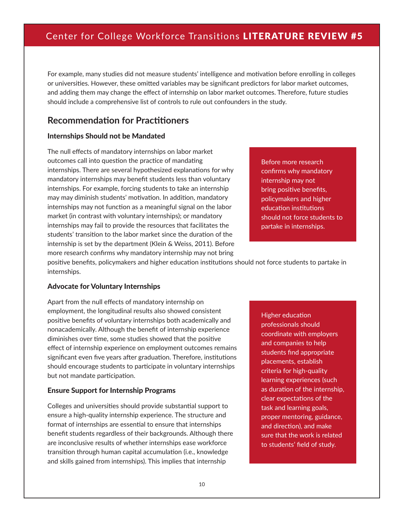For example, many studies did not measure students' intelligence and motivation before enrolling in colleges or universities. However, these omitted variables may be significant predictors for labor market outcomes, and adding them may change the effect of internship on labor market outcomes. Therefore, future studies should include a comprehensive list of controls to rule out confounders in the study.

### **Recommendation for Practitioners**

#### Internships Should not be Mandated

The null effects of mandatory internships on labor market outcomes call into question the practice of mandating internships. There are several hypothesized explanations for why mandatory internships may benefit students less than voluntary internships. For example, forcing students to take an internship may may diminish students' motivation. In addition, mandatory internships may not function as a meaningful signal on the labor market (in contrast with voluntary internships); or mandatory internships may fail to provide the resources that facilitates the students' transition to the labor market since the duration of the internship is set by the department (Klein & Weiss, 2011). Before more research confirms why mandatory internship may not bring

Before more research confirms why mandatory internship may not bring positive benefits, policymakers and higher education institutions should not force students to partake in internships.

positive benefits, policymakers and higher education institutions should not force students to partake in internships.

#### Advocate for Voluntary Internships

Apart from the null effects of mandatory internship on employment, the longitudinal results also showed consistent positive benefits of voluntary internships both academically and nonacademically. Although the benefit of internship experience diminishes over time, some studies showed that the positive effect of internship experience on employment outcomes remains significant even five years after graduation. Therefore, institutions should encourage students to participate in voluntary internships but not mandate participation.

#### Ensure Support for Internship Programs

Colleges and universities should provide substantial support to ensure a high-quality internship experience. The structure and format of internships are essential to ensure that internships benefit students regardless of their backgrounds. Although there are inconclusive results of whether internships ease workforce transition through human capital accumulation (i.e., knowledge and skills gained from internships). This implies that internship

Higher education professionals should coordinate with employers and companies to help students find appropriate placements, establish criteria for high-quality learning experiences (such as duration of the internship, clear expectations of the task and learning goals, proper mentoring, guidance, and direction), and make sure that the work is related to students' field of study.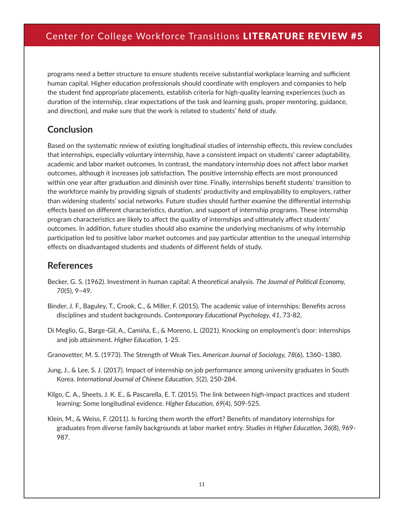programs need a better structure to ensure students receive substantial workplace learning and sufficient human capital. Higher education professionals should coordinate with employers and companies to help the student find appropriate placements, establish criteria for high-quality learning experiences (such as duration of the internship, clear expectations of the task and learning goals, proper mentoring, guidance, and direction), and make sure that the work is related to students' field of study.

### **Conclusion**

Based on the systematic review of existing longitudinal studies of internship effects, this review concludes that internships, especially voluntary internship, have a consistent impact on students' career adaptability, academic and labor market outcomes. In contrast, the mandatory internship does not affect labor market outcomes, although it increases job satisfaction. The positive internship effects are most pronounced within one year after graduation and diminish over time. Finally, internships benefit students' transition to the workforce mainly by providing signals of students' productivity and employability to employers, rather than widening students' social networks. Future studies should further examine the differential internship effects based on different characteristics, duration, and support of internship programs. These internship program characteristics are likely to affect the quality of internships and ultimately affect students' outcomes. In addition, future studies should also examine the underlying mechanisms of why internship participation led to positive labor market outcomes and pay particular attention to the unequal internship effects on disadvantaged students and students of different fields of study.

### **References**

- Becker, G. S. (1962). Investment in human capital: A theoretical analysis. *The Journal of Political Economy, 70*(5), 9–49.
- Binder, J. F., Baguley, T., Crook, C., & Miller, F. (2015). The academic value of internships: Benefits across disciplines and student backgrounds. *Contemporary Educational Psychology, 41,* 73-82.
- Di Meglio, G., Barge-Gil, A., Camiña, E., & Moreno, L. (2021). Knocking on employment's door: internships and job attainment. *Higher Education,* 1-25.
- Granovetter, M. S. (1973). The Strength of Weak Ties. *American Journal of Sociology, 78*(6), 1360–1380.
- Jung, J., & Lee, S. J. (2017). Impact of internship on job performance among university graduates in South Korea. *International Journal of Chinese Education, 5*(2), 250-284.
- Kilgo, C. A., Sheets, J. K. E., & Pascarella, E. T. (2015). The link between high-impact practices and student learning: Some longitudinal evidence. *Higher Education, 69*(4), 509-525.
- Klein, M., & Weiss, F. (2011). Is forcing them worth the effort? Benefits of mandatory internships for graduates from diverse family backgrounds at labor market entry. *Studies in Higher Education, 36*(8), 969- 987.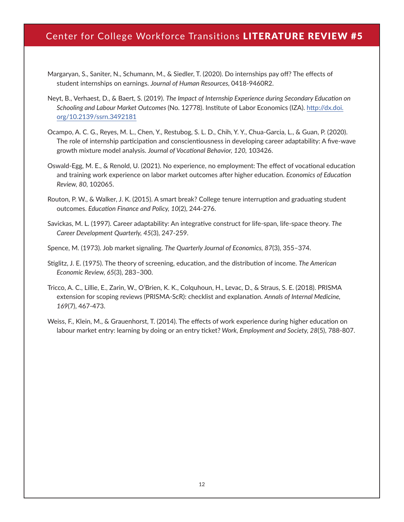- Margaryan, S., Saniter, N., Schumann, M., & Siedler, T. (2020). Do internships pay off? The effects of student internships on earnings. *Journal of Human Resources,* 0418-9460R2.
- Neyt, B., Verhaest, D., & Baert, S. (2019). *The Impact of Internship Experience during Secondary Education on Schooling and Labour Market Outcomes* (No. 12778). Institute of Labor Economics (IZA). [http://dx.doi.](http://dx.doi.org/10.2139/ssrn.3492181) [org/10.2139/ssrn.3492181](http://dx.doi.org/10.2139/ssrn.3492181)
- Ocampo, A. C. G., Reyes, M. L., Chen, Y., Restubog, S. L. D., Chih, Y. Y., Chua-Garcia, L., & Guan, P. (2020). The role of internship participation and conscientiousness in developing career adaptability: A five-wave growth mixture model analysis. *Journal of Vocational Behavior, 120,* 103426.
- Oswald-Egg, M. E., & Renold, U. (2021). No experience, no employment: The effect of vocational education and training work experience on labor market outcomes after higher education. *Economics of Education Review, 80,* 102065.
- Routon, P. W., & Walker, J. K. (2015). A smart break? College tenure interruption and graduating student outcomes. *Education Finance and Policy, 10*(2), 244-276.
- Savickas, M. L. (1997). Career adaptability: An integrative construct for life‐span, life‐space theory. *The Career Development Quarterly, 45*(3), 247-259.
- Spence, M. (1973). Job market signaling. *The Quarterly Journal of Economics, 87*(3), 355–374.
- Stiglitz, J. E. (1975). The theory of screening, education, and the distribution of income. *The American Economic Review, 65*(3), 283–300.
- Tricco, A. C., Lillie, E., Zarin, W., O'Brien, K. K., Colquhoun, H., Levac, D., & Straus, S. E. (2018). PRISMA extension for scoping reviews (PRISMA-ScR): checklist and explanation. *Annals of Internal Medicine, 169*(7), 467-473.
- Weiss, F., Klein, M., & Grauenhorst, T. (2014). The effects of work experience during higher education on labour market entry: learning by doing or an entry ticket? *Work, Employment and Society, 28*(5), 788-807.